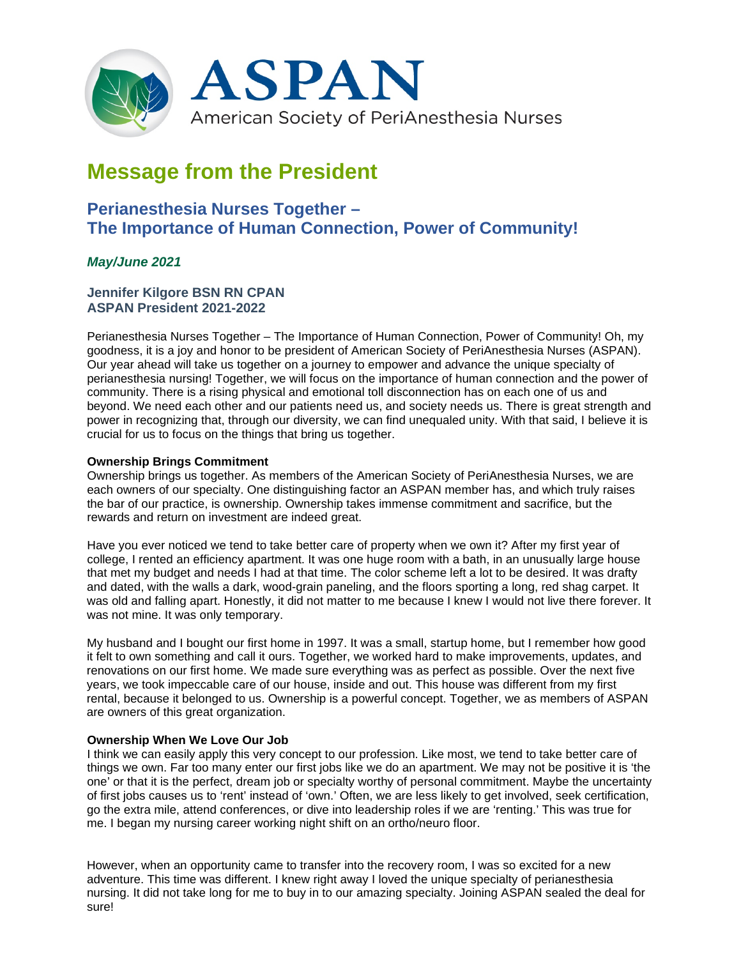

# **Message from the President**

# **Perianesthesia Nurses Together – The Importance of Human Connection, Power of Community!**

# *May/June 2021*

# **Jennifer Kilgore BSN RN CPAN ASPAN President 2021-2022**

Perianesthesia Nurses Together – The Importance of Human Connection, Power of Community! Oh, my goodness, it is a joy and honor to be president of American Society of PeriAnesthesia Nurses (ASPAN). Our year ahead will take us together on a journey to empower and advance the unique specialty of perianesthesia nursing! Together, we will focus on the importance of human connection and the power of community. There is a rising physical and emotional toll disconnection has on each one of us and beyond. We need each other and our patients need us, and society needs us. There is great strength and power in recognizing that, through our diversity, we can find unequaled unity. With that said, I believe it is crucial for us to focus on the things that bring us together.

## **Ownership Brings Commitment**

Ownership brings us together. As members of the American Society of PeriAnesthesia Nurses, we are each owners of our specialty. One distinguishing factor an ASPAN member has, and which truly raises the bar of our practice, is ownership. Ownership takes immense commitment and sacrifice, but the rewards and return on investment are indeed great.

Have you ever noticed we tend to take better care of property when we own it? After my first year of college, I rented an efficiency apartment. It was one huge room with a bath, in an unusually large house that met my budget and needs I had at that time. The color scheme left a lot to be desired. It was drafty and dated, with the walls a dark, wood-grain paneling, and the floors sporting a long, red shag carpet. It was old and falling apart. Honestly, it did not matter to me because I knew I would not live there forever. It was not mine. It was only temporary.

My husband and I bought our first home in 1997. It was a small, startup home, but I remember how good it felt to own something and call it ours. Together, we worked hard to make improvements, updates, and renovations on our first home. We made sure everything was as perfect as possible. Over the next five years, we took impeccable care of our house, inside and out. This house was different from my first rental, because it belonged to us. Ownership is a powerful concept. Together, we as members of ASPAN are owners of this great organization.

## **Ownership When We Love Our Job**

I think we can easily apply this very concept to our profession. Like most, we tend to take better care of things we own. Far too many enter our first jobs like we do an apartment. We may not be positive it is 'the one' or that it is the perfect, dream job or specialty worthy of personal commitment. Maybe the uncertainty of first jobs causes us to 'rent' instead of 'own.' Often, we are less likely to get involved, seek certification, go the extra mile, attend conferences, or dive into leadership roles if we are 'renting.' This was true for me. I began my nursing career working night shift on an ortho/neuro floor.

However, when an opportunity came to transfer into the recovery room, I was so excited for a new adventure. This time was different. I knew right away I loved the unique specialty of perianesthesia nursing. It did not take long for me to buy in to our amazing specialty. Joining ASPAN sealed the deal for sure!